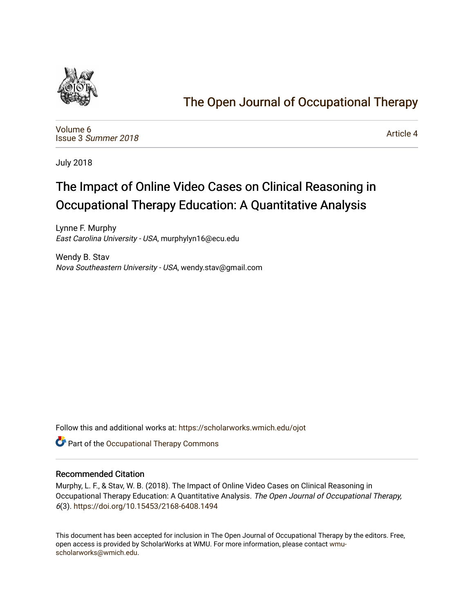

## [The Open Journal of Occupational Therapy](https://scholarworks.wmich.edu/ojot)

[Volume 6](https://scholarworks.wmich.edu/ojot/vol6) Issue 3 [Summer 2018](https://scholarworks.wmich.edu/ojot/vol6/iss3) 

[Article 4](https://scholarworks.wmich.edu/ojot/vol6/iss3/4) 

July 2018

# The Impact of Online Video Cases on Clinical Reasoning in Occupational Therapy Education: A Quantitative Analysis

Lynne F. Murphy East Carolina University - USA, murphylyn16@ecu.edu

Wendy B. Stav Nova Southeastern University - USA, wendy.stav@gmail.com

Follow this and additional works at: [https://scholarworks.wmich.edu/ojot](https://scholarworks.wmich.edu/ojot?utm_source=scholarworks.wmich.edu%2Fojot%2Fvol6%2Fiss3%2F4&utm_medium=PDF&utm_campaign=PDFCoverPages)

Part of the [Occupational Therapy Commons](http://network.bepress.com/hgg/discipline/752?utm_source=scholarworks.wmich.edu%2Fojot%2Fvol6%2Fiss3%2F4&utm_medium=PDF&utm_campaign=PDFCoverPages) 

## Recommended Citation

Murphy, L. F., & Stav, W. B. (2018). The Impact of Online Video Cases on Clinical Reasoning in Occupational Therapy Education: A Quantitative Analysis. The Open Journal of Occupational Therapy, 6(3).<https://doi.org/10.15453/2168-6408.1494>

This document has been accepted for inclusion in The Open Journal of Occupational Therapy by the editors. Free, open access is provided by ScholarWorks at WMU. For more information, please contact [wmu](mailto:wmu-scholarworks@wmich.edu)[scholarworks@wmich.edu.](mailto:wmu-scholarworks@wmich.edu)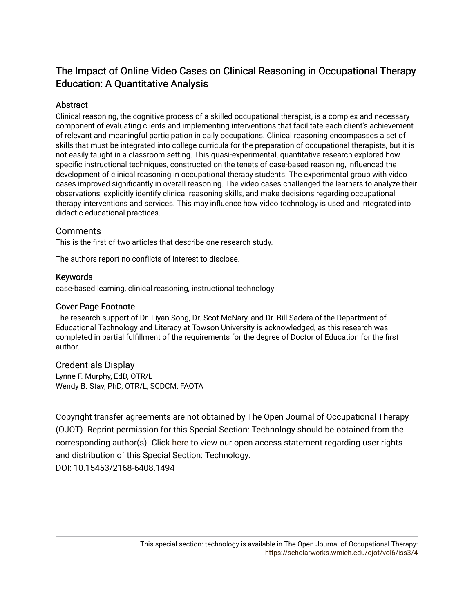## The Impact of Online Video Cases on Clinical Reasoning in Occupational Therapy Education: A Quantitative Analysis

## Abstract

Clinical reasoning, the cognitive process of a skilled occupational therapist, is a complex and necessary component of evaluating clients and implementing interventions that facilitate each client's achievement of relevant and meaningful participation in daily occupations. Clinical reasoning encompasses a set of skills that must be integrated into college curricula for the preparation of occupational therapists, but it is not easily taught in a classroom setting. This quasi-experimental, quantitative research explored how specific instructional techniques, constructed on the tenets of case-based reasoning, influenced the development of clinical reasoning in occupational therapy students. The experimental group with video cases improved significantly in overall reasoning. The video cases challenged the learners to analyze their observations, explicitly identify clinical reasoning skills, and make decisions regarding occupational therapy interventions and services. This may influence how video technology is used and integrated into didactic educational practices.

## **Comments**

This is the first of two articles that describe one research study.

The authors report no conflicts of interest to disclose.

## Keywords

case-based learning, clinical reasoning, instructional technology

## Cover Page Footnote

The research support of Dr. Liyan Song, Dr. Scot McNary, and Dr. Bill Sadera of the Department of Educational Technology and Literacy at Towson University is acknowledged, as this research was completed in partial fulfillment of the requirements for the degree of Doctor of Education for the first author.

## Credentials Display

Lynne F. Murphy, EdD, OTR/L Wendy B. Stav, PhD, OTR/L, SCDCM, FAOTA

Copyright transfer agreements are not obtained by The Open Journal of Occupational Therapy (OJOT). Reprint permission for this Special Section: Technology should be obtained from the corresponding author(s). Click [here](https://scholarworks.wmich.edu/ojot/policies.html#rights) to view our open access statement regarding user rights and distribution of this Special Section: Technology. DOI: 10.15453/2168-6408.1494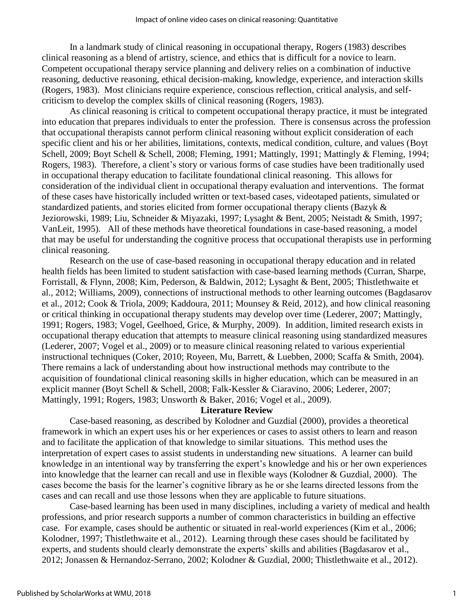In a landmark study of clinical reasoning in occupational therapy, Rogers (1983) describes clinical reasoning as a blend of artistry, science, and ethics that is difficult for a novice to learn. Competent occupational therapy service planning and delivery relies on a combination of inductive reasoning, deductive reasoning, ethical decision-making, knowledge, experience, and interaction skills (Rogers, 1983). Most clinicians require experience, conscious reflection, critical analysis, and selfcriticism to develop the complex skills of clinical reasoning (Rogers, 1983).

As clinical reasoning is critical to competent occupational therapy practice, it must be integrated into education that prepares individuals to enter the profession. There is consensus across the profession that occupational therapists cannot perform clinical reasoning without explicit consideration of each specific client and his or her abilities, limitations, contexts, medical condition, culture, and values (Boyt Schell, 2009; Boyt Schell & Schell, 2008; Fleming, 1991; Mattingly, 1991; Mattingly & Fleming, 1994; Rogers, 1983). Therefore, a client's story or various forms of case studies have been traditionally used in occupational therapy education to facilitate foundational clinical reasoning. This allows for consideration of the individual client in occupational therapy evaluation and interventions. The format of these cases have historically included written or text-based cases, videotaped patients, simulated or standardized patients, and stories elicited from former occupational therapy clients (Bazyk & Jeziorowski, 1989; Liu, Schneider & Miyazaki, 1997; Lysaght & Bent, 2005; Neistadt & Smith, 1997; VanLeit, 1995). All of these methods have theoretical foundations in case-based reasoning, a model that may be useful for understanding the cognitive process that occupational therapists use in performing clinical reasoning.

Research on the use of case-based reasoning in occupational therapy education and in related health fields has been limited to student satisfaction with case-based learning methods (Curran, Sharpe, Forristall, & Flynn, 2008; Kim, Pederson, & Baldwin, 2012; Lysaght & Bent, 2005; Thistlethwaite et al., 2012; Williams, 2009), connections of instructional methods to other learning outcomes (Bagdasarov et al., 2012; Cook & Triola, 2009; Kaddoura, 2011; Mounsey & Reid, 2012), and how clinical reasoning or critical thinking in occupational therapy students may develop over time (Lederer, 2007; Mattingly, 1991; Rogers, 1983; Vogel, Geelhoed, Grice, & Murphy, 2009). In addition, limited research exists in occupational therapy education that attempts to measure clinical reasoning using standardized measures (Lederer, 2007; Vogel et al., 2009) or to measure clinical reasoning related to various experiential instructional techniques (Coker, 2010; Royeen, Mu, Barrett, & Luebben, 2000; Scaffa & Smith, 2004). There remains a lack of understanding about how instructional methods may contribute to the acquisition of foundational clinical reasoning skills in higher education, which can be measured in an explicit manner (Boyt Schell & Schell, 2008; Falk-Kessler & Ciaravino, 2006; Lederer, 2007; Mattingly, 1991; Rogers, 1983; Unsworth & Baker, 2016; Vogel et al., 2009).

#### **Literature Review**

Case-based reasoning, as described by Kolodner and Guzdial (2000), provides a theoretical framework in which an expert uses his or her experiences or cases to assist others to learn and reason and to facilitate the application of that knowledge to similar situations. This method uses the interpretation of expert cases to assist students in understanding new situations. A learner can build knowledge in an intentional way by transferring the expert's knowledge and his or her own experiences into knowledge that the learner can recall and use in flexible ways (Kolodner & Guzdial, 2000). The cases become the basis for the learner's cognitive library as he or she learns directed lessons from the cases and can recall and use those lessons when they are applicable to future situations.

Case-based learning has been used in many disciplines, including a variety of medical and health professions, and prior research supports a number of common characteristics in building an effective case. For example, cases should be authentic or situated in real-world experiences (Kim et al., 2006; Kolodner, 1997; Thistlethwaite et al., 2012). Learning through these cases should be facilitated by experts, and students should clearly demonstrate the experts' skills and abilities (Bagdasarov et al., 2012; Jonassen & Hernandoz-Serrano, 2002; Kolodner & Guzdial, 2000; Thistlethwaite et al., 2012).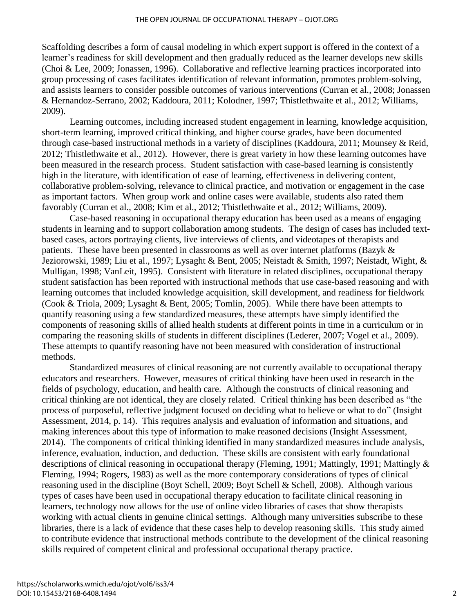Scaffolding describes a form of causal modeling in which expert support is offered in the context of a learner's readiness for skill development and then gradually reduced as the learner develops new skills (Choi & Lee, 2009; Jonassen, 1996). Collaborative and reflective learning practices incorporated into group processing of cases facilitates identification of relevant information, promotes problem-solving, and assists learners to consider possible outcomes of various interventions (Curran et al., 2008; Jonassen & Hernandoz-Serrano, 2002; Kaddoura, 2011; Kolodner, 1997; Thistlethwaite et al., 2012; Williams, 2009).

Learning outcomes, including increased student engagement in learning, knowledge acquisition, short-term learning, improved critical thinking, and higher course grades, have been documented through case-based instructional methods in a variety of disciplines (Kaddoura, 2011; Mounsey & Reid, 2012; Thistlethwaite et al., 2012). However, there is great variety in how these learning outcomes have been measured in the research process. Student satisfaction with case-based learning is consistently high in the literature, with identification of ease of learning, effectiveness in delivering content, collaborative problem-solving, relevance to clinical practice, and motivation or engagement in the case as important factors. When group work and online cases were available, students also rated them favorably (Curran et al., 2008; Kim et al., 2012; Thistlethwaite et al., 2012; Williams, 2009).

Case-based reasoning in occupational therapy education has been used as a means of engaging students in learning and to support collaboration among students. The design of cases has included textbased cases, actors portraying clients, live interviews of clients, and videotapes of therapists and patients. These have been presented in classrooms as well as over internet platforms (Bazyk & Jeziorowski, 1989; Liu et al., 1997; Lysaght & Bent, 2005; Neistadt & Smith, 1997; Neistadt, Wight, & Mulligan, 1998; VanLeit, 1995). Consistent with literature in related disciplines, occupational therapy student satisfaction has been reported with instructional methods that use case-based reasoning and with learning outcomes that included knowledge acquisition, skill development, and readiness for fieldwork (Cook & Triola, 2009; Lysaght & Bent, 2005; Tomlin, 2005). While there have been attempts to quantify reasoning using a few standardized measures, these attempts have simply identified the components of reasoning skills of allied health students at different points in time in a curriculum or in comparing the reasoning skills of students in different disciplines (Lederer, 2007; Vogel et al., 2009). These attempts to quantify reasoning have not been measured with consideration of instructional methods.

Standardized measures of clinical reasoning are not currently available to occupational therapy educators and researchers. However, measures of critical thinking have been used in research in the fields of psychology, education, and health care. Although the constructs of clinical reasoning and critical thinking are not identical, they are closely related. Critical thinking has been described as "the process of purposeful, reflective judgment focused on deciding what to believe or what to do" (Insight Assessment, 2014, p. 14). This requires analysis and evaluation of information and situations, and making inferences about this type of information to make reasoned decisions (Insight Assessment, 2014). The components of critical thinking identified in many standardized measures include analysis, inference, evaluation, induction, and deduction. These skills are consistent with early foundational descriptions of clinical reasoning in occupational therapy (Fleming, 1991; Mattingly, 1991; Mattingly & Fleming, 1994; Rogers, 1983) as well as the more contemporary considerations of types of clinical reasoning used in the discipline (Boyt Schell, 2009; Boyt Schell & Schell, 2008). Although various types of cases have been used in occupational therapy education to facilitate clinical reasoning in learners, technology now allows for the use of online video libraries of cases that show therapists working with actual clients in genuine clinical settings. Although many universities subscribe to these libraries, there is a lack of evidence that these cases help to develop reasoning skills. This study aimed to contribute evidence that instructional methods contribute to the development of the clinical reasoning skills required of competent clinical and professional occupational therapy practice.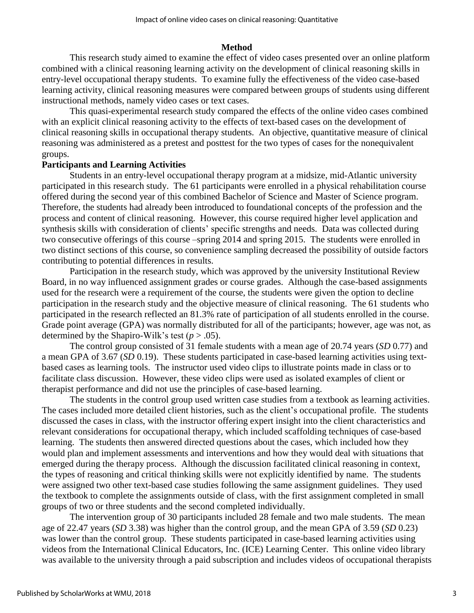#### **Method**

This research study aimed to examine the effect of video cases presented over an online platform combined with a clinical reasoning learning activity on the development of clinical reasoning skills in entry-level occupational therapy students. To examine fully the effectiveness of the video case-based learning activity, clinical reasoning measures were compared between groups of students using different instructional methods, namely video cases or text cases.

This quasi-experimental research study compared the effects of the online video cases combined with an explicit clinical reasoning activity to the effects of text-based cases on the development of clinical reasoning skills in occupational therapy students. An objective, quantitative measure of clinical reasoning was administered as a pretest and posttest for the two types of cases for the nonequivalent groups.

#### **Participants and Learning Activities**

Students in an entry-level occupational therapy program at a midsize, mid-Atlantic university participated in this research study. The 61 participants were enrolled in a physical rehabilitation course offered during the second year of this combined Bachelor of Science and Master of Science program. Therefore, the students had already been introduced to foundational concepts of the profession and the process and content of clinical reasoning. However, this course required higher level application and synthesis skills with consideration of clients' specific strengths and needs. Data was collected during two consecutive offerings of this course –spring 2014 and spring 2015. The students were enrolled in two distinct sections of this course, so convenience sampling decreased the possibility of outside factors contributing to potential differences in results.

Participation in the research study, which was approved by the university Institutional Review Board, in no way influenced assignment grades or course grades. Although the case-based assignments used for the research were a requirement of the course, the students were given the option to decline participation in the research study and the objective measure of clinical reasoning. The 61 students who participated in the research reflected an 81.3% rate of participation of all students enrolled in the course. Grade point average (GPA) was normally distributed for all of the participants; however, age was not, as determined by the Shapiro-Wilk's test  $(p > .05)$ .

The control group consisted of 31 female students with a mean age of 20.74 years (*SD* 0.77) and a mean GPA of 3.67 (*SD* 0.19). These students participated in case-based learning activities using textbased cases as learning tools. The instructor used video clips to illustrate points made in class or to facilitate class discussion. However, these video clips were used as isolated examples of client or therapist performance and did not use the principles of case-based learning.

The students in the control group used written case studies from a textbook as learning activities. The cases included more detailed client histories, such as the client's occupational profile. The students discussed the cases in class, with the instructor offering expert insight into the client characteristics and relevant considerations for occupational therapy, which included scaffolding techniques of case-based learning. The students then answered directed questions about the cases, which included how they would plan and implement assessments and interventions and how they would deal with situations that emerged during the therapy process. Although the discussion facilitated clinical reasoning in context, the types of reasoning and critical thinking skills were not explicitly identified by name. The students were assigned two other text-based case studies following the same assignment guidelines. They used the textbook to complete the assignments outside of class, with the first assignment completed in small groups of two or three students and the second completed individually.

The intervention group of 30 participants included 28 female and two male students. The mean age of 22.47 years (*SD* 3.38) was higher than the control group, and the mean GPA of 3.59 (*SD* 0.23) was lower than the control group. These students participated in case-based learning activities using videos from the International Clinical Educators, Inc. (ICE) Learning Center. This online video library was available to the university through a paid subscription and includes videos of occupational therapists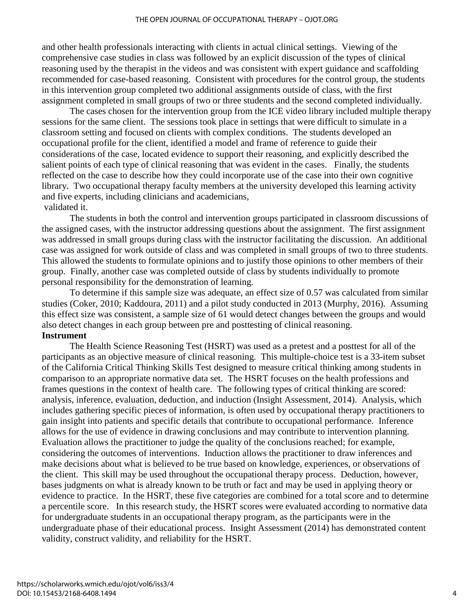and other health professionals interacting with clients in actual clinical settings. Viewing of the comprehensive case studies in class was followed by an explicit discussion of the types of clinical reasoning used by the therapist in the videos and was consistent with expert guidance and scaffolding recommended for case-based reasoning. Consistent with procedures for the control group, the students in this intervention group completed two additional assignments outside of class, with the first assignment completed in small groups of two or three students and the second completed individually.

The cases chosen for the intervention group from the ICE video library included multiple therapy sessions for the same client. The sessions took place in settings that were difficult to simulate in a classroom setting and focused on clients with complex conditions. The students developed an occupational profile for the client, identified a model and frame of reference to guide their considerations of the case, located evidence to support their reasoning, and explicitly described the salient points of each type of clinical reasoning that was evident in the cases. Finally, the students reflected on the case to describe how they could incorporate use of the case into their own cognitive library. Two occupational therapy faculty members at the university developed this learning activity and five experts, including clinicians and academicians, validated it.

The students in both the control and intervention groups participated in classroom discussions of the assigned cases, with the instructor addressing questions about the assignment. The first assignment was addressed in small groups during class with the instructor facilitating the discussion. An additional case was assigned for work outside of class and was completed in small groups of two to three students. This allowed the students to formulate opinions and to justify those opinions to other members of their group. Finally, another case was completed outside of class by students individually to promote personal responsibility for the demonstration of learning.

To determine if this sample size was adequate, an effect size of 0.57 was calculated from similar studies (Coker, 2010; Kaddoura, 2011) and a pilot study conducted in 2013 (Murphy, 2016). Assuming this effect size was consistent, a sample size of 61 would detect changes between the groups and would also detect changes in each group between pre and posttesting of clinical reasoning.

## **Instrument**

The Health Science Reasoning Test (HSRT) was used as a pretest and a posttest for all of the participants as an objective measure of clinical reasoning. This multiple-choice test is a 33-item subset of the California Critical Thinking Skills Test designed to measure critical thinking among students in comparison to an appropriate normative data set. The HSRT focuses on the health professions and frames questions in the context of health care. The following types of critical thinking are scored: analysis, inference, evaluation, deduction, and induction (Insight Assessment, 2014). Analysis, which includes gathering specific pieces of information, is often used by occupational therapy practitioners to gain insight into patients and specific details that contribute to occupational performance. Inference allows for the use of evidence in drawing conclusions and may contribute to intervention planning. Evaluation allows the practitioner to judge the quality of the conclusions reached; for example, considering the outcomes of interventions. Induction allows the practitioner to draw inferences and make decisions about what is believed to be true based on knowledge, experiences, or observations of the client. This skill may be used throughout the occupational therapy process. Deduction, however, bases judgments on what is already known to be truth or fact and may be used in applying theory or evidence to practice. In the HSRT, these five categories are combined for a total score and to determine a percentile score. In this research study, the HSRT scores were evaluated according to normative data for undergraduate students in an occupational therapy program, as the participants were in the undergraduate phase of their educational process. Insight Assessment (2014) has demonstrated content validity, construct validity, and reliability for the HSRT.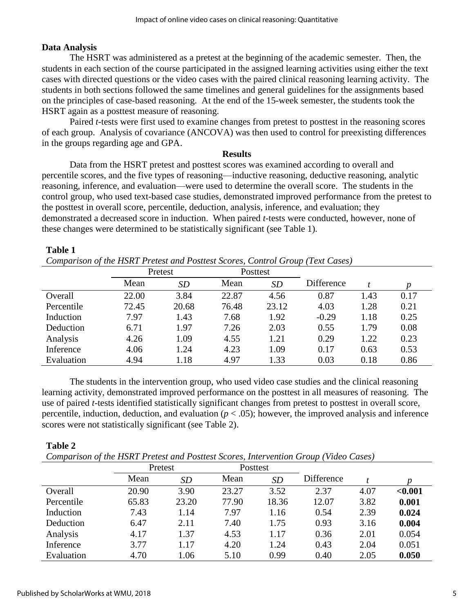## **Data Analysis**

The HSRT was administered as a pretest at the beginning of the academic semester. Then, the students in each section of the course participated in the assigned learning activities using either the text cases with directed questions or the video cases with the paired clinical reasoning learning activity. The students in both sections followed the same timelines and general guidelines for the assignments based on the principles of case-based reasoning. At the end of the 15-week semester, the students took the HSRT again as a posttest measure of reasoning.

Paired *t*-tests were first used to examine changes from pretest to posttest in the reasoning scores of each group. Analysis of covariance (ANCOVA) was then used to control for preexisting differences in the groups regarding age and GPA.

#### **Results**

Data from the HSRT pretest and posttest scores was examined according to overall and percentile scores, and the five types of reasoning—inductive reasoning, deductive reasoning, analytic reasoning, inference, and evaluation—were used to determine the overall score. The students in the control group, who used text-based case studies, demonstrated improved performance from the pretest to the posttest in overall score, percentile, deduction, analysis, inference, and evaluation; they demonstrated a decreased score in induction. When paired *t*-tests were conducted, however, none of these changes were determined to be statistically significant (see Table 1).

#### **Table 1**

*Comparison of the HSRT Pretest and Posttest Scores, Control Group (Text Cases)*

|            | Pretest |           | Posttest |           |            |      |      |
|------------|---------|-----------|----------|-----------|------------|------|------|
|            | Mean    | <b>SD</b> | Mean     | <b>SD</b> | Difference |      |      |
| Overall    | 22.00   | 3.84      | 22.87    | 4.56      | 0.87       | 1.43 | 0.17 |
| Percentile | 72.45   | 20.68     | 76.48    | 23.12     | 4.03       | 1.28 | 0.21 |
| Induction  | 7.97    | 1.43      | 7.68     | 1.92      | $-0.29$    | 1.18 | 0.25 |
| Deduction  | 6.71    | 1.97      | 7.26     | 2.03      | 0.55       | 1.79 | 0.08 |
| Analysis   | 4.26    | 1.09      | 4.55     | 1.21      | 0.29       | 1.22 | 0.23 |
| Inference  | 4.06    | 1.24      | 4.23     | 1.09      | 0.17       | 0.63 | 0.53 |
| Evaluation | 4.94    | 1.18      | 4.97     | 1.33      | 0.03       | 0.18 | 0.86 |

The students in the intervention group, who used video case studies and the clinical reasoning learning activity, demonstrated improved performance on the posttest in all measures of reasoning. The use of paired *t*-tests identified statistically significant changes from pretest to posttest in overall score, percentile, induction, deduction, and evaluation ( $p < .05$ ); however, the improved analysis and inference scores were not statistically significant (see Table 2).

## **Table 2**

*Comparison of the HSRT Pretest and Posttest Scores, Intervention Group (Video Cases)*

|            | Pretest |       | Posttest |           |            |      |         |
|------------|---------|-------|----------|-----------|------------|------|---------|
|            | Mean    | SD    | Mean     | <b>SD</b> | Difference |      |         |
| Overall    | 20.90   | 3.90  | 23.27    | 3.52      | 2.37       | 4.07 | < 0.001 |
| Percentile | 65.83   | 23.20 | 77.90    | 18.36     | 12.07      | 3.82 | 0.001   |
| Induction  | 7.43    | 1.14  | 7.97     | 1.16      | 0.54       | 2.39 | 0.024   |
| Deduction  | 6.47    | 2.11  | 7.40     | 1.75      | 0.93       | 3.16 | 0.004   |
| Analysis   | 4.17    | 1.37  | 4.53     | 1.17      | 0.36       | 2.01 | 0.054   |
| Inference  | 3.77    | 1.17  | 4.20     | 1.24      | 0.43       | 2.04 | 0.051   |
| Evaluation | 4.70    | 1.06  | 5.10     | 0.99      | 0.40       | 2.05 | 0.050   |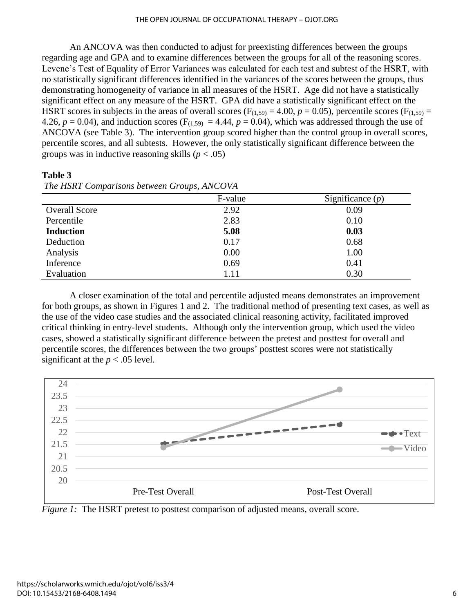An ANCOVA was then conducted to adjust for preexisting differences between the groups regarding age and GPA and to examine differences between the groups for all of the reasoning scores. Levene's Test of Equality of Error Variances was calculated for each test and subtest of the HSRT, with no statistically significant differences identified in the variances of the scores between the groups, thus demonstrating homogeneity of variance in all measures of the HSRT. Age did not have a statistically significant effect on any measure of the HSRT. GPA did have a statistically significant effect on the HSRT scores in subjects in the areas of overall scores ( $F_{(1,59)} = 4.00$ ,  $p = 0.05$ ), percentile scores ( $F_{(1,59)} =$ 4.26,  $p = 0.04$ ), and induction scores ( $F_{(1,59)} = 4.44$ ,  $p = 0.04$ ), which was addressed through the use of ANCOVA (see Table 3). The intervention group scored higher than the control group in overall scores, percentile scores, and all subtests. However, the only statistically significant difference between the groups was in inductive reasoning skills  $(p < .05)$ 

**Table 3**

|                      | F-value | Significance $(p)$ |
|----------------------|---------|--------------------|
| <b>Overall Score</b> | 2.92    | 0.09               |
| Percentile           | 2.83    | 0.10               |
| <b>Induction</b>     | 5.08    | 0.03               |
| Deduction            | 0.17    | 0.68               |
| Analysis             | 0.00    | 1.00               |
| Inference            | 0.69    | 0.41               |
| Evaluation           | 1.11    | 0.30               |

*The HSRT Comparisons between Groups, ANCOVA*

A closer examination of the total and percentile adjusted means demonstrates an improvement for both groups, as shown in Figures 1 and 2. The traditional method of presenting text cases, as well as the use of the video case studies and the associated clinical reasoning activity, facilitated improved critical thinking in entry-level students. Although only the intervention group, which used the video cases, showed a statistically significant difference between the pretest and posttest for overall and percentile scores, the differences between the two groups' posttest scores were not statistically significant at the  $p < .05$  level.



*Figure 1:* The HSRT pretest to posttest comparison of adjusted means, overall score.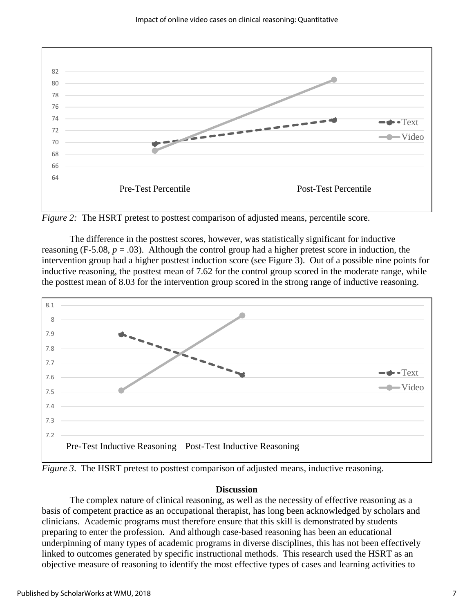

*Figure 2:* The HSRT pretest to posttest comparison of adjusted means, percentile score.

The difference in the posttest scores, however, was statistically significant for inductive reasoning (F-5.08,  $p = .03$ ). Although the control group had a higher pretest score in induction, the intervention group had a higher posttest induction score (see Figure 3). Out of a possible nine points for inductive reasoning, the posttest mean of 7.62 for the control group scored in the moderate range, while the posttest mean of 8.03 for the intervention group scored in the strong range of inductive reasoning.



*Figure 3*. The HSRT pretest to posttest comparison of adjusted means, inductive reasoning.

#### **Discussion**

The complex nature of clinical reasoning, as well as the necessity of effective reasoning as a basis of competent practice as an occupational therapist, has long been acknowledged by scholars and clinicians. Academic programs must therefore ensure that this skill is demonstrated by students preparing to enter the profession. And although case-based reasoning has been an educational underpinning of many types of academic programs in diverse disciplines, this has not been effectively linked to outcomes generated by specific instructional methods. This research used the HSRT as an objective measure of reasoning to identify the most effective types of cases and learning activities to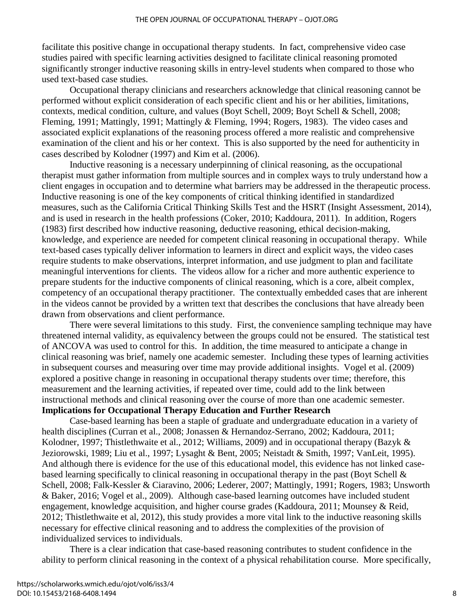facilitate this positive change in occupational therapy students. In fact, comprehensive video case studies paired with specific learning activities designed to facilitate clinical reasoning promoted significantly stronger inductive reasoning skills in entry-level students when compared to those who used text-based case studies.

Occupational therapy clinicians and researchers acknowledge that clinical reasoning cannot be performed without explicit consideration of each specific client and his or her abilities, limitations, contexts, medical condition, culture, and values (Boyt Schell, 2009; Boyt Schell & Schell, 2008; Fleming, 1991; Mattingly, 1991; Mattingly & Fleming, 1994; Rogers, 1983). The video cases and associated explicit explanations of the reasoning process offered a more realistic and comprehensive examination of the client and his or her context. This is also supported by the need for authenticity in cases described by Kolodner (1997) and Kim et al. (2006).

Inductive reasoning is a necessary underpinning of clinical reasoning, as the occupational therapist must gather information from multiple sources and in complex ways to truly understand how a client engages in occupation and to determine what barriers may be addressed in the therapeutic process. Inductive reasoning is one of the key components of critical thinking identified in standardized measures, such as the California Critical Thinking Skills Test and the HSRT (Insight Assessment, 2014), and is used in research in the health professions (Coker, 2010; Kaddoura, 2011). In addition, Rogers (1983) first described how inductive reasoning, deductive reasoning, ethical decision-making, knowledge, and experience are needed for competent clinical reasoning in occupational therapy. While text-based cases typically deliver information to learners in direct and explicit ways, the video cases require students to make observations, interpret information, and use judgment to plan and facilitate meaningful interventions for clients. The videos allow for a richer and more authentic experience to prepare students for the inductive components of clinical reasoning, which is a core, albeit complex, competency of an occupational therapy practitioner. The contextually embedded cases that are inherent in the videos cannot be provided by a written text that describes the conclusions that have already been drawn from observations and client performance.

There were several limitations to this study. First, the convenience sampling technique may have threatened internal validity, as equivalency between the groups could not be ensured. The statistical test of ANCOVA was used to control for this. In addition, the time measured to anticipate a change in clinical reasoning was brief, namely one academic semester. Including these types of learning activities in subsequent courses and measuring over time may provide additional insights. Vogel et al. (2009) explored a positive change in reasoning in occupational therapy students over time; therefore, this measurement and the learning activities, if repeated over time, could add to the link between instructional methods and clinical reasoning over the course of more than one academic semester. **Implications for Occupational Therapy Education and Further Research**

Case-based learning has been a staple of graduate and undergraduate education in a variety of health disciplines (Curran et al., 2008; Jonassen & Hernandoz-Serrano, 2002; Kaddoura, 2011; Kolodner, 1997; Thistlethwaite et al., 2012; Williams, 2009) and in occupational therapy (Bazyk & Jeziorowski, 1989; Liu et al., 1997; Lysaght & Bent, 2005; Neistadt & Smith, 1997; VanLeit, 1995). And although there is evidence for the use of this educational model, this evidence has not linked casebased learning specifically to clinical reasoning in occupational therapy in the past (Boyt Schell & Schell, 2008; Falk-Kessler & Ciaravino, 2006; Lederer, 2007; Mattingly, 1991; Rogers, 1983; Unsworth & Baker, 2016; Vogel et al., 2009). Although case-based learning outcomes have included student engagement, knowledge acquisition, and higher course grades (Kaddoura, 2011; Mounsey & Reid, 2012; Thistlethwaite et al, 2012), this study provides a more vital link to the inductive reasoning skills necessary for effective clinical reasoning and to address the complexities of the provision of individualized services to individuals.

There is a clear indication that case-based reasoning contributes to student confidence in the ability to perform clinical reasoning in the context of a physical rehabilitation course. More specifically,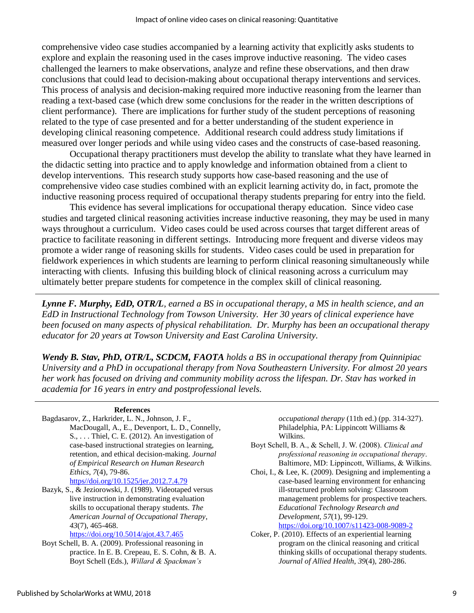comprehensive video case studies accompanied by a learning activity that explicitly asks students to explore and explain the reasoning used in the cases improve inductive reasoning. The video cases challenged the learners to make observations, analyze and refine these observations, and then draw conclusions that could lead to decision-making about occupational therapy interventions and services. This process of analysis and decision-making required more inductive reasoning from the learner than reading a text-based case (which drew some conclusions for the reader in the written descriptions of client performance). There are implications for further study of the student perceptions of reasoning related to the type of case presented and for a better understanding of the student experience in developing clinical reasoning competence. Additional research could address study limitations if measured over longer periods and while using video cases and the constructs of case-based reasoning.

Occupational therapy practitioners must develop the ability to translate what they have learned in the didactic setting into practice and to apply knowledge and information obtained from a client to develop interventions. This research study supports how case-based reasoning and the use of comprehensive video case studies combined with an explicit learning activity do, in fact, promote the inductive reasoning process required of occupational therapy students preparing for entry into the field.

This evidence has several implications for occupational therapy education. Since video case studies and targeted clinical reasoning activities increase inductive reasoning, they may be used in many ways throughout a curriculum. Video cases could be used across courses that target different areas of practice to facilitate reasoning in different settings. Introducing more frequent and diverse videos may promote a wider range of reasoning skills for students. Video cases could be used in preparation for fieldwork experiences in which students are learning to perform clinical reasoning simultaneously while interacting with clients. Infusing this building block of clinical reasoning across a curriculum may ultimately better prepare students for competence in the complex skill of clinical reasoning.

*Lynne F. Murphy, EdD, OTR/L, earned a BS in occupational therapy, a MS in health science, and an EdD in Instructional Technology from Towson University. Her 30 years of clinical experience have been focused on many aspects of physical rehabilitation. Dr. Murphy has been an occupational therapy educator for 20 years at Towson University and East Carolina University.*

*Wendy B. Stav, PhD, OTR/L, SCDCM, FAOTA holds a BS in occupational therapy from Quinnipiac University and a PhD in occupational therapy from Nova Southeastern University. For almost 20 years her work has focused on driving and community mobility across the lifespan. Dr. Stav has worked in academia for 16 years in entry and postprofessional levels.*

#### **References**

- Bagdasarov, Z., Harkrider, L. N., Johnson, J. F., MacDougall, A., E., Devenport, L. D., Connelly,  $S_{1}, \ldots$  Thiel, C. E. (2012). An investigation of case-based instructional strategies on learning, retention, and ethical decision-making. *Journal of Empirical Research on Human Research Ethics*, *7*(4), 79-86. [https//doi.org/10.1525/jer.2012.7.4.79](https://doi.org/10.1525/jer.2012.7.4.79)
- Bazyk, S., & Jeziorowski, J. (1989). Videotaped versus live instruction in demonstrating evaluation skills to occupational therapy students. *The American Journal of Occupational Therapy*, *43*(7), 465-468.

#### [https://doi.org/10.5014/ajot.43.7.465](https://ajot.aota.org/article.aspx?articleid=1880157)

Boyt Schell, B. A. (2009). Professional reasoning in practice. In E. B. Crepeau, E. S. Cohn, & B. A. Boyt Schell (Eds.), *Willard & Spackman's* 

*occupational therapy* (11th ed.) (pp. 314-327). Philadelphia, PA: Lippincott Williams & Wilkins.

- Boyt Schell, B. A., & Schell, J. W. (2008). *Clinical and professional reasoning in occupational therapy*. Baltimore, MD: Lippincott, Williams, & Wilkins.
- Choi, I., & Lee, K. (2009). Designing and implementing a case-based learning environment for enhancing ill-structured problem solving: Classroom management problems for prospective teachers. *Educational Technology Research and Development*, *57*(1), 99-129.

[https://doi.org/10.1007/s11423-008-9089-2](https://link.springer.com/article/10.1007%2Fs11423-008-9089-2)

Coker, P. (2010). Effects of an experiential learning program on the clinical reasoning and critical thinking skills of occupational therapy students. *Journal of Allied Health*, *39*(4), 280-286.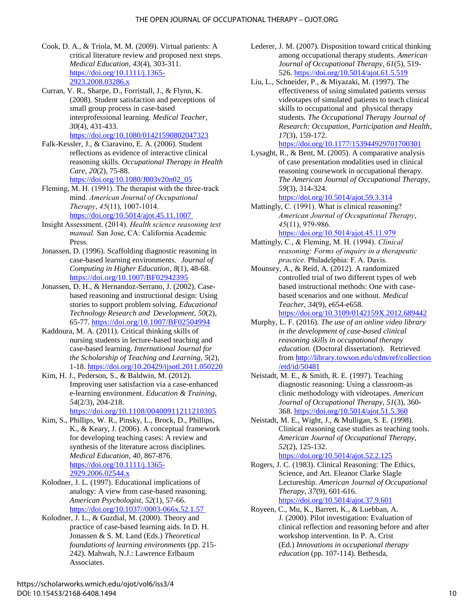- Cook, D. A., & Triola, M. M. (2009). Virtual patients: A critical literature review and proposed next steps. *Medical Education*, *43*(4), 303-311. [https://doi.org/10.1111/j.1365-](http://onlinelibrary.wiley.com/doi/10.1111/j.1365-2923.2008.03286.x/abstract) [2923.2008.03286.x](http://onlinelibrary.wiley.com/doi/10.1111/j.1365-2923.2008.03286.x/abstract)
- Curran, V. R., Sharpe, D., Forristall, J., & Flynn, K. (2008). Student satisfaction and perceptions of small group process in case-based interprofessional learning. *Medical Teacher*, *30*(4), 431-433. [https://doi.org/10.1080/01421590802047323](https://www.tandfonline.com/doi/full/10.1080/01421590802047323)
- Falk-Kessler, J., & Ciaravino, E. A. (2006). Student reflections as evidence of interactive clinical reasoning skills. *Occupational Therapy in Health Care*, *20*(2), 75-88. [https://doi.org/10.1080/J003v20n02\\_05](https://www.tandfonline.com/doi/abs/10.1080/J003v20n02_05)
- Fleming, M. H. (1991). The therapist with the three-track mind. *American Journal of Occupational Therapy*, *45*(11), 1007-1014. https://doi.org/10.5014/ajot.45.11.1007
- Insight Assessment. (2014). *Health science reasoning test manual.* San Jose, CA: California Academic Press.
- Jonassen, D. (1996). Scaffolding diagnostic reasoning in case-based learning environments. *Journal of Computing in Higher Education*, *8*(1), 48-68. [https://doi.org/10.1007/BF02942395](https://link.springer.com/article/10.1007%2FBF02942395)
- Jonassen, D. H., & Hernandoz-Serrano, J. (2002). Casebased reasoning and instructional design: Using stories to support problem solving. *Educational Technology Research and Development*, *50*(2), 65-77. [https://doi.org/10.1007/BF02504994](https://link.springer.com/article/10.1007%2FBF02504994)
- Kaddoura, M. A. (2011). Critical thinking skills of nursing students in lecture-based teaching and case-based learning. *International Journal for the Scholarship of Teaching and Learning*, *5*(2), 1-18. [https://doi.org/10.20429/ijsotl.2011.050220](https://digitalcommons.georgiasouthern.edu/ij-sotl/vol5/iss2/20/)
- Kim, H. J., Pederson, S., & Baldwin, M. (2012). Improving user satisfaction via a case-enhanced e-learning environment. *Education & Training*, *54*(2/3), 204-218.

[https://doi.org/10.1108/00400911211210305](http://www.emeraldinsight.com/doi/abs/10.1108/00400911211210305)

- Kim, S., Phillips, W. R., Pinsky, L., Brock, D., Phillips, K., & Keary, J. (2006). A conceptual framework for developing teaching cases: A review and synthesis of the literature across disciplines. *Medical Education*, *40*, 867-876. [https://doi.org/10.1111/j.1365-](http://onlinelibrary.wiley.com/doi/10.1111/j.1365-2929.2006.02544.x/abstract;jsessionid=B22A6EBCC3BBCF09ADC3D3672B51175B.f02t02) [2929.2006.02544.x](http://onlinelibrary.wiley.com/doi/10.1111/j.1365-2929.2006.02544.x/abstract;jsessionid=B22A6EBCC3BBCF09ADC3D3672B51175B.f02t02)
- Kolodner, J. L. (1997). Educational implications of analogy: A view from case-based reasoning. *American Psychologist*, *52*(1), 57-66. [https://doi.org/10.1037//0003-066x.52.1.57](https://doi.org/10.1037/0003-066x.52.1.57)
- Kolodner, J. L., & Guzdial, M. (2000). Theory and practice of case-based learning aids. In D. H. Jonassen & S. M. Land (Eds.) *Theoretical foundations of learning environments* (pp. 215- 242). Mahwah, N.J.: Lawrence Erlbaum Associates.
- Lederer, J. M. (2007). Disposition toward critical thinking among occupational therapy students. *American Journal of Occupational Therapy*, *61*(5), 519- 526. [https://doi.org/10.5014/ajot.61.5.519](https://ajot.aota.org/article.aspx?articleid=1866986)
- Liu, L., Schneider, P., & Miyazaki, M. (1997). The effectiveness of using simulated patients versus videotapes of simulated patients to teach clinical skills to occupational and physical therapy students. *The Occupational Therapy Journal of Research: Occupation, Participation and Health*, *17*(3), 159-172.

<https://doi.org/10.1177/153944929701700301>

Lysaght, R., & Bent, M. (2005). A comparative analysis of case presentation modalities used in clinical reasoning coursework in occupational therapy. *The American Journal of Occupational Therapy*, *59*(3), 314-324.

[https://doi.org/10.5014/ajot.59.3.314](https://ajot.aota.org/article.aspx?articleid=1871708) 

Mattingly, C. (1991). What is clinical reasoning? *American Journal of Occupational Therapy*, *45*(11), 979-986.

<https://doi.org/10.5014/ajot.45.11.979> Mattingly, C., & Fleming, M. H. (1994). *Clinical* 

- *reasoning: Forms of inquiry in a therapeutic practice*. Philadelphia: F. A. Davis.
- Mounsey, A., & Reid, A. (2012). A randomized controlled trial of two different types of web based instructional methods: One with casebased scenarios and one without. *Medical Teacher*, *34*(9), e654-e658. [https://doi.org/10.3109/0142159X.2012.689442](https://www.tandfonline.com/doi/full/10.3109/0142159X.2012.689442)
- Murphy, L. F. (2016). *The use of an online video library in the development of case-based clinical reasoning skills in occupational therapy education.* (Doctoral dissertation). Retrieved from [http://library.towson.edu/cdm/ref/collection](http://library.towson.edu/digital/collection/etd/id/50481) [/etd/id/50481](http://library.towson.edu/digital/collection/etd/id/50481)
- Neistadt, M. E., & Smith, R. E. (1997). Teaching diagnostic reasoning: Using a classroom-as clinic methodology with videotapes. *American Journal of Occupational Therapy*, *51*(3), 360- 368. [https://doi.org/10.5014/ajot.51.5.360](https://ajot.aota.org/article.aspx?articleid=1862403)
- Neistadt, M. E., Wight, J., & Mulligan, S. E. (1998). Clinical reasoning case studies as teaching tools. *American Journal of Occupational Therapy*, *52*(2), 125-132. [https://doi.org/10.5014/ajot.52.2.125](https://ajot.aota.org/article.aspx?articleid=1862509)
- Rogers, J. C. (1983). Clinical Reasoning: The Ethics, Science, and Art. Eleanor Clarke Slagle Lectureship. *American Journal of Occupational Therapy*, *37*(9), 601-616. [https://doi.org/10.5014/ajot.37.9.601](https://ajot.aota.org/article.aspx?articleid=1887343)
- Royeen, C., Mu, K., Barrett, K., & Luebban, A. J. (2000). Pilot investigation: Evaluation of clinical reflection and reasoning before and after workshop intervention. In P. A. Crist (Ed.) *Innovations in occupational therapy education* (pp. 107-114). Bethesda,